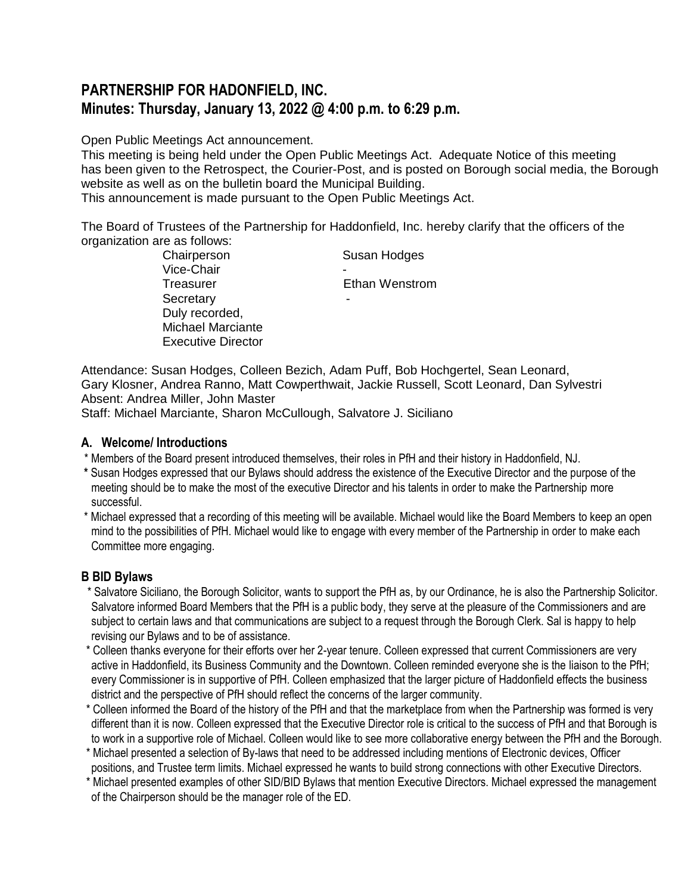# **PARTNERSHIP FOR HADONFIELD, INC. Minutes: Thursday, January 13, 2022 @ 4:00 p.m. to 6:29 p.m.**

Open Public Meetings Act announcement.

This meeting is being held under the Open Public Meetings Act. Adequate Notice of this meeting has been given to the Retrospect, the Courier-Post, and is posted on Borough social media, the Borough website as well as on the bulletin board the Municipal Building.

This announcement is made pursuant to the Open Public Meetings Act.

The Board of Trustees of the Partnership for Haddonfield, Inc. hereby clarify that the officers of the organization are as follows:

| Chairperson               | Susan Hodges   |
|---------------------------|----------------|
| Vice-Chair                |                |
| Treasurer                 | Ethan Wenstrom |
| Secretary                 |                |
| Duly recorded,            |                |
| <b>Michael Marciante</b>  |                |
| <b>Executive Director</b> |                |

Attendance: Susan Hodges, Colleen Bezich, Adam Puff, Bob Hochgertel, Sean Leonard, Gary Klosner, Andrea Ranno, Matt Cowperthwait, Jackie Russell, Scott Leonard, Dan Sylvestri Absent: Andrea Miller, John Master

Staff: Michael Marciante, Sharon McCullough, Salvatore J. Siciliano

## **A. Welcome/ Introductions**

- \* Members of the Board present introduced themselves, their roles in PfH and their history in Haddonfield, NJ.
- **\*** Susan Hodges expressed that our Bylaws should address the existence of the Executive Director and the purpose of the meeting should be to make the most of the executive Director and his talents in order to make the Partnership more successful.
- \* Michael expressed that a recording of this meeting will be available. Michael would like the Board Members to keep an open mind to the possibilities of PfH. Michael would like to engage with every member of the Partnership in order to make each Committee more engaging.

## **B BID Bylaws**

- \* Salvatore Siciliano, the Borough Solicitor, wants to support the PfH as, by our Ordinance, he is also the Partnership Solicitor. Salvatore informed Board Members that the PfH is a public body, they serve at the pleasure of the Commissioners and are subject to certain laws and that communications are subject to a request through the Borough Clerk. Sal is happy to help revising our Bylaws and to be of assistance.
- \* Colleen thanks everyone for their efforts over her 2-year tenure. Colleen expressed that current Commissioners are very active in Haddonfield, its Business Community and the Downtown. Colleen reminded everyone she is the liaison to the PfH; every Commissioner is in supportive of PfH. Colleen emphasized that the larger picture of Haddonfield effects the business district and the perspective of PfH should reflect the concerns of the larger community.
- \* Colleen informed the Board of the history of the PfH and that the marketplace from when the Partnership was formed is very different than it is now. Colleen expressed that the Executive Director role is critical to the success of PfH and that Borough is to work in a supportive role of Michael. Colleen would like to see more collaborative energy between the PfH and the Borough.
- \* Michael presented a selection of By-laws that need to be addressed including mentions of Electronic devices, Officer positions, and Trustee term limits. Michael expressed he wants to build strong connections with other Executive Directors.
- \* Michael presented examples of other SID/BID Bylaws that mention Executive Directors. Michael expressed the management of the Chairperson should be the manager role of the ED.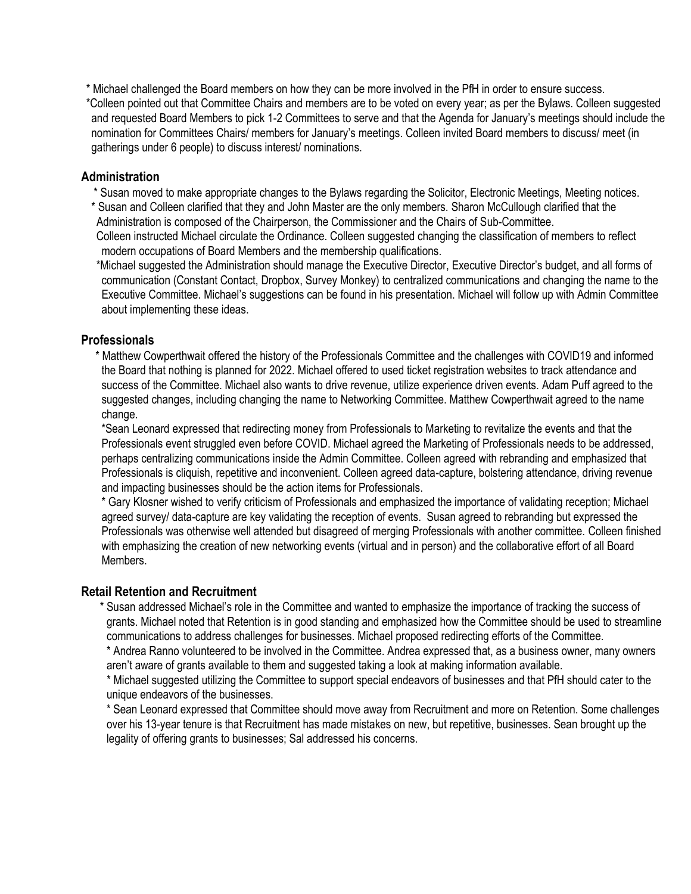\* Michael challenged the Board members on how they can be more involved in the PfH in order to ensure success. \*Colleen pointed out that Committee Chairs and members are to be voted on every year; as per the Bylaws. Colleen suggested and requested Board Members to pick 1-2 Committees to serve and that the Agenda for January's meetings should include the nomination for Committees Chairs/ members for January's meetings. Colleen invited Board members to discuss/ meet (in gatherings under 6 people) to discuss interest/ nominations.

## **Administration**

- \* Susan moved to make appropriate changes to the Bylaws regarding the Solicitor, Electronic Meetings, Meeting notices.
- \* Susan and Colleen clarified that they and John Master are the only members. Sharon McCullough clarified that the Administration is composed of the Chairperson, the Commissioner and the Chairs of Sub-Committee. Colleen instructed Michael circulate the Ordinance. Colleen suggested changing the classification of members to reflect

modern occupations of Board Members and the membership qualifications. \*Michael suggested the Administration should manage the Executive Director, Executive Director's budget, and all forms of

communication (Constant Contact, Dropbox, Survey Monkey) to centralized communications and changing the name to the Executive Committee. Michael's suggestions can be found in his presentation. Michael will follow up with Admin Committee about implementing these ideas.

## **Professionals**

 \* Matthew Cowperthwait offered the history of the Professionals Committee and the challenges with COVID19 and informed the Board that nothing is planned for 2022. Michael offered to used ticket registration websites to track attendance and success of the Committee. Michael also wants to drive revenue, utilize experience driven events. Adam Puff agreed to the suggested changes, including changing the name to Networking Committee. Matthew Cowperthwait agreed to the name change.

\*Sean Leonard expressed that redirecting money from Professionals to Marketing to revitalize the events and that the Professionals event struggled even before COVID. Michael agreed the Marketing of Professionals needs to be addressed, perhaps centralizing communications inside the Admin Committee. Colleen agreed with rebranding and emphasized that Professionals is cliquish, repetitive and inconvenient. Colleen agreed data-capture, bolstering attendance, driving revenue and impacting businesses should be the action items for Professionals.

\* Gary Klosner wished to verify criticism of Professionals and emphasized the importance of validating reception; Michael agreed survey/ data-capture are key validating the reception of events. Susan agreed to rebranding but expressed the Professionals was otherwise well attended but disagreed of merging Professionals with another committee. Colleen finished with emphasizing the creation of new networking events (virtual and in person) and the collaborative effort of all Board Members.

## **Retail Retention and Recruitment**

 \* Susan addressed Michael's role in the Committee and wanted to emphasize the importance of tracking the success of grants. Michael noted that Retention is in good standing and emphasized how the Committee should be used to streamline communications to address challenges for businesses. Michael proposed redirecting efforts of the Committee.

\* Andrea Ranno volunteered to be involved in the Committee. Andrea expressed that, as a business owner, many owners aren't aware of grants available to them and suggested taking a look at making information available.

 \* Michael suggested utilizing the Committee to support special endeavors of businesses and that PfH should cater to the unique endeavors of the businesses.

\* Sean Leonard expressed that Committee should move away from Recruitment and more on Retention. Some challenges over his 13-year tenure is that Recruitment has made mistakes on new, but repetitive, businesses. Sean brought up the legality of offering grants to businesses; Sal addressed his concerns.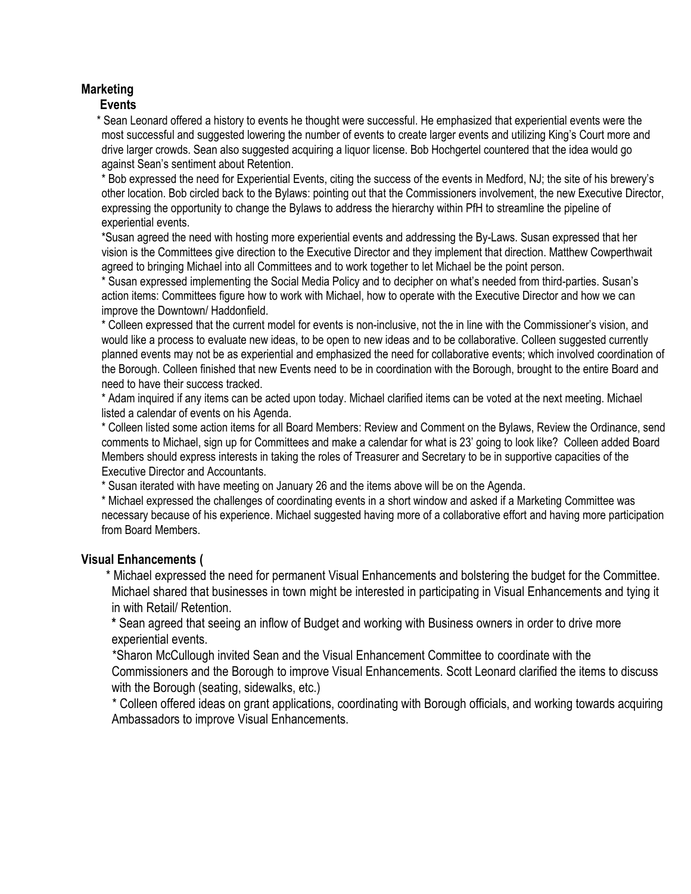## **Marketing**

## **Events**

 \* Sean Leonard offered a history to events he thought were successful. He emphasized that experiential events were the most successful and suggested lowering the number of events to create larger events and utilizing King's Court more and drive larger crowds. Sean also suggested acquiring a liquor license. Bob Hochgertel countered that the idea would go against Sean's sentiment about Retention.

\* Bob expressed the need for Experiential Events, citing the success of the events in Medford, NJ; the site of his brewery's other location. Bob circled back to the Bylaws: pointing out that the Commissioners involvement, the new Executive Director, expressing the opportunity to change the Bylaws to address the hierarchy within PfH to streamline the pipeline of experiential events.

\*Susan agreed the need with hosting more experiential events and addressing the By-Laws. Susan expressed that her vision is the Committees give direction to the Executive Director and they implement that direction. Matthew Cowperthwait agreed to bringing Michael into all Committees and to work together to let Michael be the point person.

\* Susan expressed implementing the Social Media Policy and to decipher on what's needed from third-parties. Susan's action items: Committees figure how to work with Michael, how to operate with the Executive Director and how we can improve the Downtown/ Haddonfield.

\* Colleen expressed that the current model for events is non-inclusive, not the in line with the Commissioner's vision, and would like a process to evaluate new ideas, to be open to new ideas and to be collaborative. Colleen suggested currently planned events may not be as experiential and emphasized the need for collaborative events; which involved coordination of the Borough. Colleen finished that new Events need to be in coordination with the Borough, brought to the entire Board and need to have their success tracked.

\* Adam inquired if any items can be acted upon today. Michael clarified items can be voted at the next meeting. Michael listed a calendar of events on his Agenda.

\* Colleen listed some action items for all Board Members: Review and Comment on the Bylaws, Review the Ordinance, send comments to Michael, sign up for Committees and make a calendar for what is 23' going to look like? Colleen added Board Members should express interests in taking the roles of Treasurer and Secretary to be in supportive capacities of the Executive Director and Accountants.

\* Susan iterated with have meeting on January 26 and the items above will be on the Agenda.

\* Michael expressed the challenges of coordinating events in a short window and asked if a Marketing Committee was necessary because of his experience. Michael suggested having more of a collaborative effort and having more participation from Board Members.

## **Visual Enhancements (**

 \* Michael expressed the need for permanent Visual Enhancements and bolstering the budget for the Committee. Michael shared that businesses in town might be interested in participating in Visual Enhancements and tying it in with Retail/ Retention.

**\*** Sean agreed that seeing an inflow of Budget and working with Business owners in order to drive more experiential events.

 \*Sharon McCullough invited Sean and the Visual Enhancement Committee to coordinate with the Commissioners and the Borough to improve Visual Enhancements. Scott Leonard clarified the items to discuss with the Borough (seating, sidewalks, etc.)

 \* Colleen offered ideas on grant applications, coordinating with Borough officials, and working towards acquiring Ambassadors to improve Visual Enhancements.